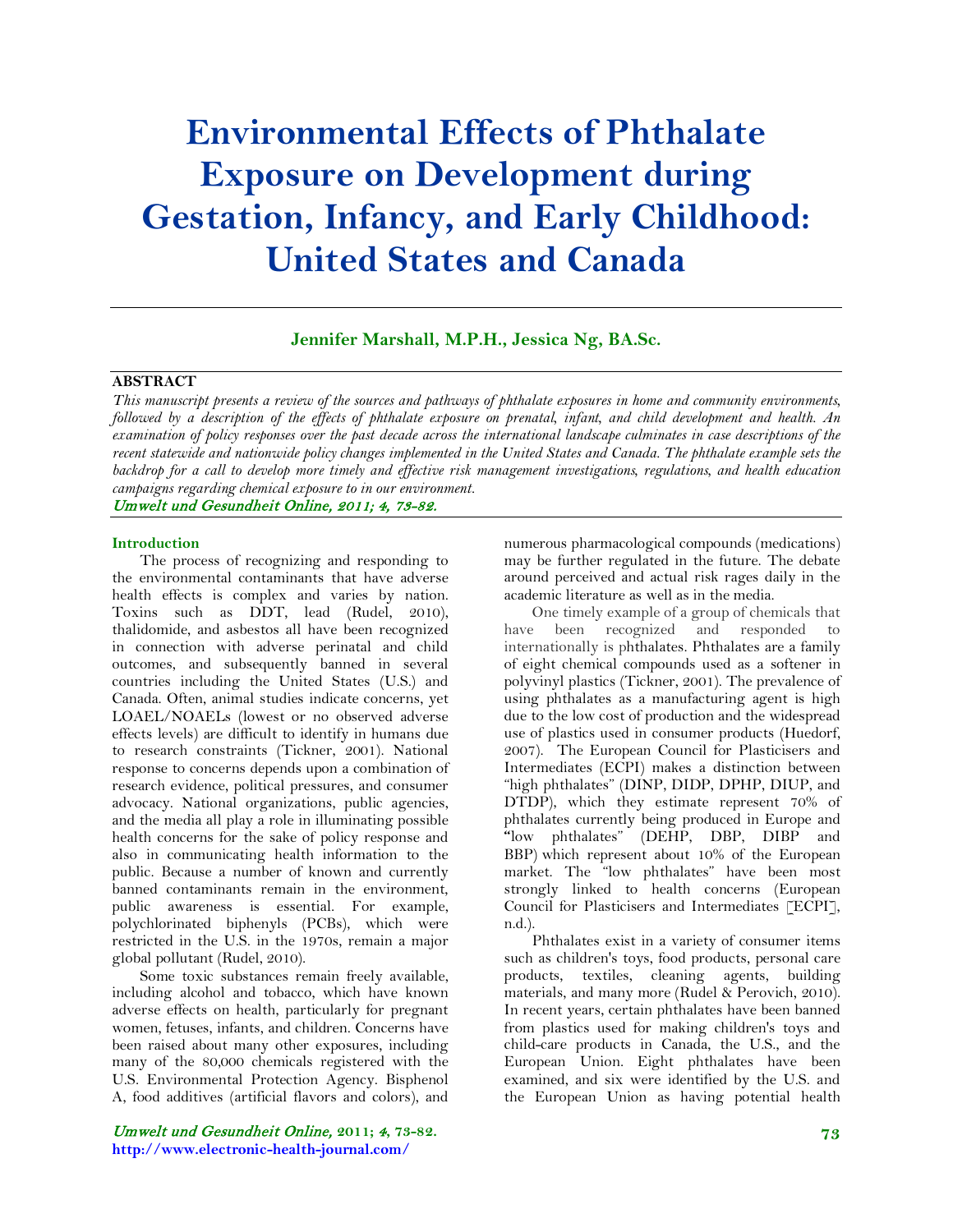# **Environmental Effects of Phthalate Exposure on Development during Gestation, Infancy, and Early Childhood: United States and Canada**

**Jennifer Marshall, M.P.H., Jessica Ng, BA.Sc.**

### **ABSTRACT**

*This manuscript presents a review of the sources and pathways of phthalate exposures in home and community environments, followed by a description of the effects of phthalate exposure on prenatal, infant, and child development and health. An examination of policy responses over the past decade across the international landscape culminates in case descriptions of the recent statewide and nationwide policy changes implemented in the United States and Canada. The phthalate example sets the backdrop for a call to develop more timely and effective risk management investigations, regulations, and health education campaigns regarding chemical exposure to in our environment.*

Umwelt und Gesundheit Online, 2011; 4, 73-82.

#### **Introduction**

The process of recognizing and responding to the environmental contaminants that have adverse health effects is complex and varies by nation. Toxins such as DDT, lead (Rudel, 2010), thalidomide, and asbestos all have been recognized in connection with adverse perinatal and child outcomes, and subsequently banned in several countries including the United States (U.S.) and Canada. Often, animal studies indicate concerns, yet LOAEL/NOAELs (lowest or no observed adverse effects levels) are difficult to identify in humans due to research constraints (Tickner, 2001). National response to concerns depends upon a combination of research evidence, political pressures, and consumer advocacy. National organizations, public agencies, and the media all play a role in illuminating possible health concerns for the sake of policy response and also in communicating health information to the public. Because a number of known and currently banned contaminants remain in the environment, public awareness is essential. For example, polychlorinated biphenyls (PCBs), which were restricted in the U.S. in the 1970s, remain a major global pollutant (Rudel, 2010).

Some toxic substances remain freely available, including alcohol and tobacco, which have known adverse effects on health, particularly for pregnant women, fetuses, infants, and children. Concerns have been raised about many other exposures, including many of the 80,000 chemicals registered with the U.S. Environmental Protection Agency. Bisphenol A, food additives (artificial flavors and colors), and

Umwelt und Gesundheit Online, **2011;** 4**, 73-82. http://www.electronic-health-journal.com/**

numerous pharmacological compounds (medications) may be further regulated in the future. The debate around perceived and actual risk rages daily in the academic literature as well as in the media.

One timely example of a group of chemicals that have been recognized and responded to internationally is phthalates. Phthalates are a family of eight chemical compounds used as a softener in polyvinyl plastics (Tickner, 2001). The prevalence of using phthalates as a manufacturing agent is high due to the low cost of production and the widespread use of plastics used in consumer products (Huedorf, 2007). The European Council for Plasticisers and Intermediates (ECPI) makes a distinction between "high phthalates" (DINP, DIDP, DPHP, DIUP, and DTDP), which they estimate represent 70% of phthalates currently being produced in Europe and **"**low phthalates" (DEHP, DBP, DIBP and BBP) which represent about 10% of the European market. The "low phthalates" have been most strongly linked to health concerns (European Council for Plasticisers and Intermediates [ECPI], n.d.).

Phthalates exist in a variety of consumer items such as children's toys, food products, personal care products, textiles, cleaning agents, building materials, and many more (Rudel & Perovich, 2010). In recent years, certain phthalates have been banned from plastics used for making children's toys and child-care products in Canada, the U.S., and the European Union. Eight phthalates have been examined, and six were identified by the U.S. and the European Union as having potential health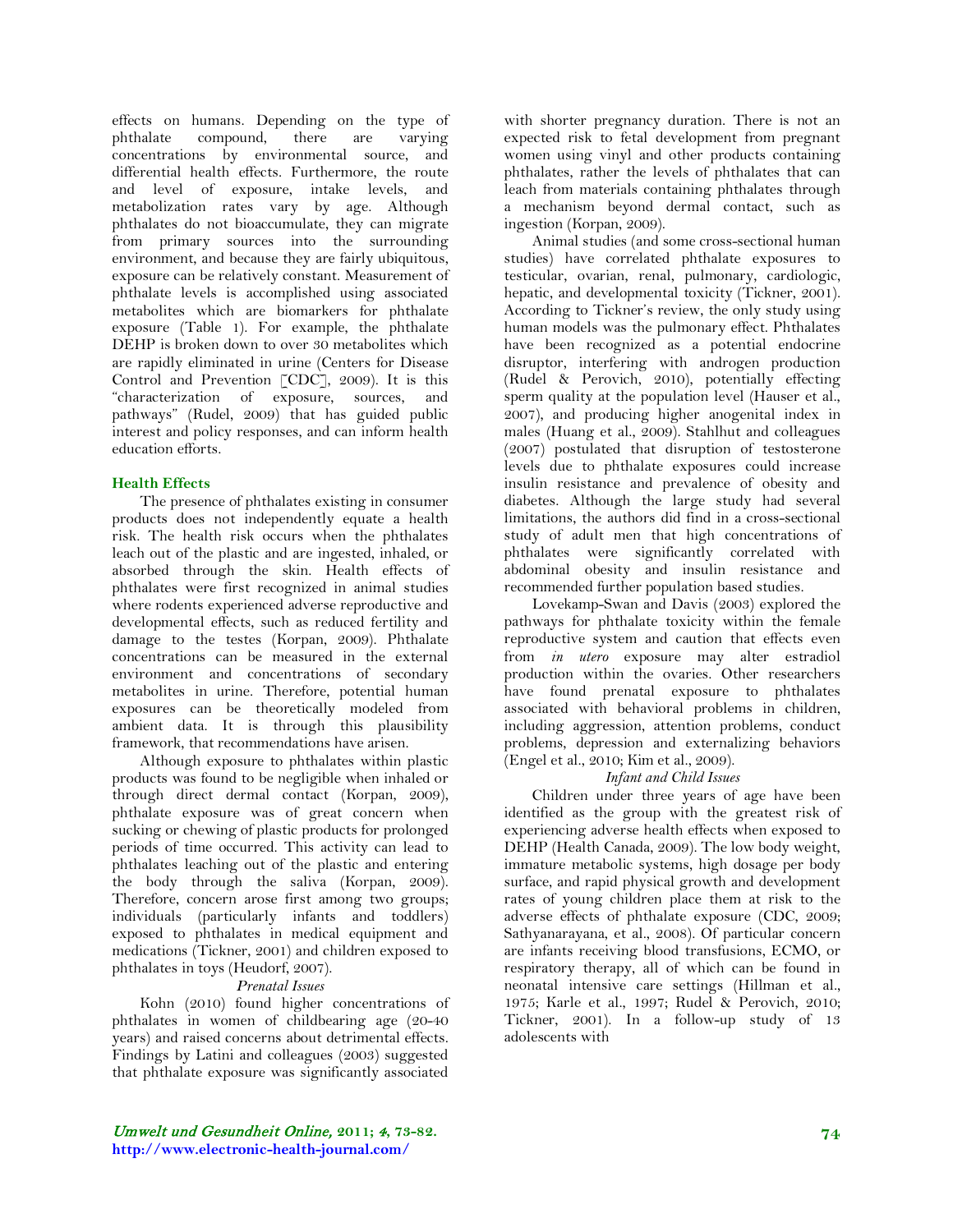effects on humans. Depending on the type of phthalate compound, there are varying concentrations by environmental source, and differential health effects. Furthermore, the route and level of exposure, intake levels, and metabolization rates vary by age. Although phthalates do not bioaccumulate, they can migrate from primary sources into the surrounding environment, and because they are fairly ubiquitous, exposure can be relatively constant. Measurement of phthalate levels is accomplished using associated metabolites which are biomarkers for phthalate exposure (Table 1). For example, the phthalate DEHP is broken down to over 30 metabolites which are rapidly eliminated in urine (Centers for Disease Control and Prevention [CDC], 2009). It is this "characterization of exposure, sources, and pathways" (Rudel, 2009) that has guided public interest and policy responses, and can inform health education efforts.

# **Health Effects**

The presence of phthalates existing in consumer products does not independently equate a health risk. The health risk occurs when the phthalates leach out of the plastic and are ingested, inhaled, or absorbed through the skin. Health effects of phthalates were first recognized in animal studies where rodents experienced adverse reproductive and developmental effects, such as reduced fertility and damage to the testes (Korpan, 2009). Phthalate concentrations can be measured in the external environment and concentrations of secondary metabolites in urine. Therefore, potential human exposures can be theoretically modeled from ambient data. It is through this plausibility framework, that recommendations have arisen.

Although exposure to phthalates within plastic products was found to be negligible when inhaled or through direct dermal contact (Korpan, 2009), phthalate exposure was of great concern when sucking or chewing of plastic products for prolonged periods of time occurred. This activity can lead to phthalates leaching out of the plastic and entering the body through the saliva (Korpan, 2009). Therefore, concern arose first among two groups; individuals (particularly infants and toddlers) exposed to phthalates in medical equipment and medications (Tickner, 2001) and children exposed to phthalates in toys (Heudorf, 2007).

# *Prenatal Issues*

Kohn (2010) found higher concentrations of phthalates in women of childbearing age (20-40 years) and raised concerns about detrimental effects. Findings by Latini and colleagues (2003) suggested that phthalate exposure was significantly associated

with shorter pregnancy duration. There is not an expected risk to fetal development from pregnant women using vinyl and other products containing phthalates, rather the levels of phthalates that can leach from materials containing phthalates through a mechanism beyond dermal contact, such as ingestion (Korpan, 2009).

Animal studies (and some cross-sectional human studies) have correlated phthalate exposures to testicular, ovarian, renal, pulmonary, cardiologic, hepatic, and developmental toxicity (Tickner, 2001). According to Tickner's review, the only study using human models was the pulmonary effect. Phthalates have been recognized as a potential endocrine disruptor, interfering with androgen production (Rudel & Perovich, 2010), potentially effecting sperm quality at the population level (Hauser et al., 2007), and producing higher anogenital index in males (Huang et al., 2009). Stahlhut and colleagues (2007) postulated that disruption of testosterone levels due to phthalate exposures could increase insulin resistance and prevalence of obesity and diabetes. Although the large study had several limitations, the authors did find in a cross-sectional study of adult men that high concentrations of phthalates were significantly correlated with abdominal obesity and insulin resistance and recommended further population based studies.

Lovekamp-Swan and Davis (2003) explored the pathways for phthalate toxicity within the female reproductive system and caution that effects even from *in utero* exposure may alter estradiol production within the ovaries. Other researchers have found prenatal exposure to phthalates associated with behavioral problems in children, including aggression, attention problems, conduct problems, depression and externalizing behaviors (Engel et al., 2010; Kim et al., 2009).

# *Infant and Child Issues*

Children under three years of age have been identified as the group with the greatest risk of experiencing adverse health effects when exposed to DEHP (Health Canada, 2009). The low body weight, immature metabolic systems, high dosage per body surface, and rapid physical growth and development rates of young children place them at risk to the adverse effects of phthalate exposure (CDC, 2009; Sathyanarayana, et al., 2008). Of particular concern are infants receiving blood transfusions, ECMO, or respiratory therapy, all of which can be found in neonatal intensive care settings (Hillman et al., 1975; Karle et al., 1997; Rudel & Perovich, 2010; Tickner, 2001). In a follow-up study of 13 adolescents with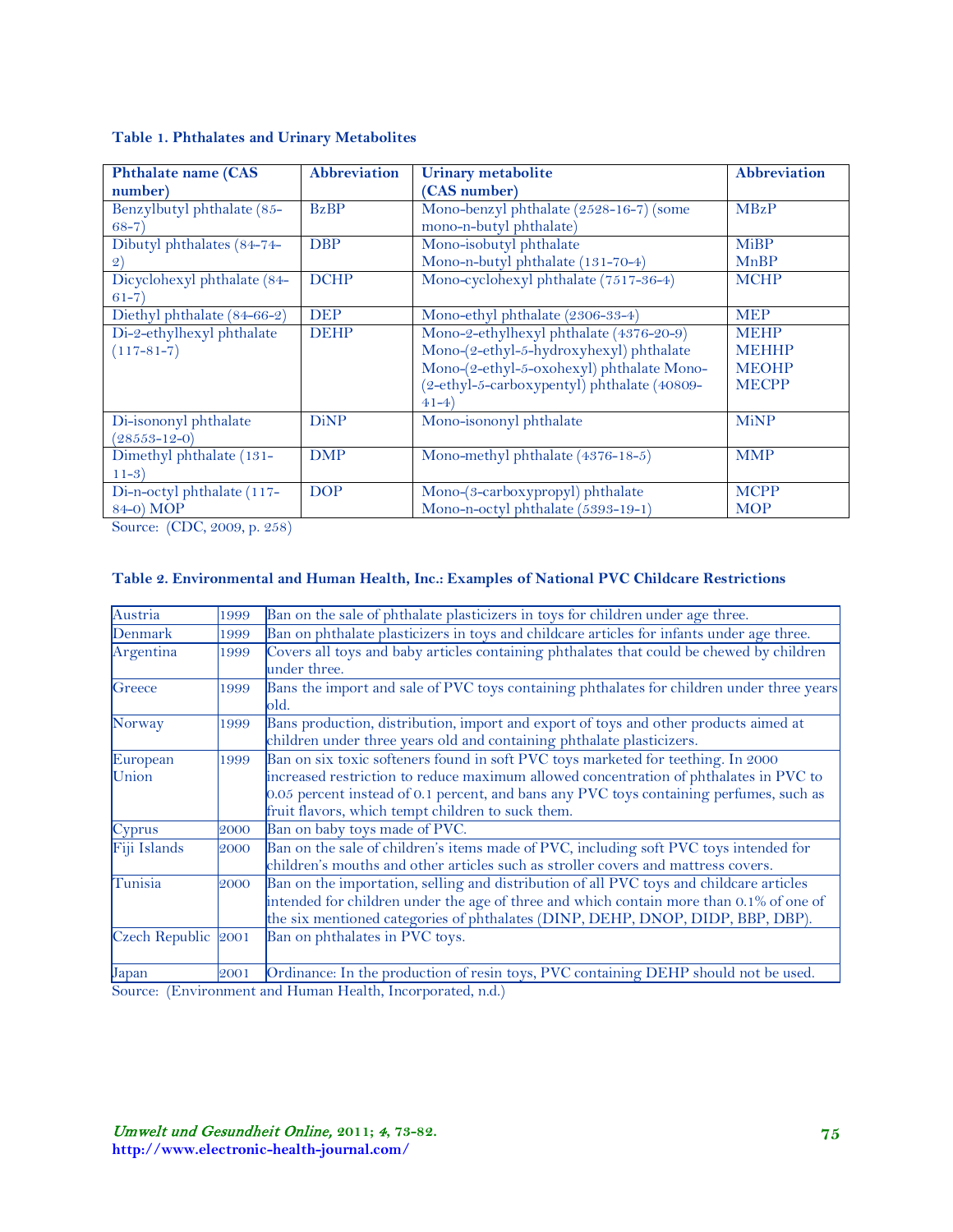| <b>Phthalate name (CAS</b>  | <b>Abbreviation</b> | <b>Urinary metabolite</b>                   | <b>Abbreviation</b> |
|-----------------------------|---------------------|---------------------------------------------|---------------------|
| number)                     |                     | (CAS number)                                |                     |
| Benzylbutyl phthalate (85-  | <b>BzBP</b>         | Mono-benzyl phthalate (2528-16-7) (some     | <b>MBzP</b>         |
| $(68-7)$                    |                     | mono-n-butyl phthalate)                     |                     |
| Dibutyl phthalates (84-74-  | <b>DBP</b>          | Mono-isobutyl phthalate                     | <b>MiBP</b>         |
| $\mathcal{Q}$               |                     | Mono-n-butyl phthalate (131-70-4)           | MnBP                |
| Dicyclohexyl phthalate (84- | <b>DCHP</b>         | Mono-cyclohexyl phthalate (7517-36-4)       | <b>MCHP</b>         |
| $61 - 7$                    |                     |                                             |                     |
| Diethyl phthalate (84-66-2) | <b>DEP</b>          | Mono-ethyl phthalate (2306-33-4)            | <b>MEP</b>          |
| Di-2-ethylhexyl phthalate   | <b>DEHP</b>         | Mono-2-ethylhexyl phthalate (4376-20-9)     | <b>MEHP</b>         |
| $(117 - 81 - 7)$            |                     | Mono-(2-ethyl-5-hydroxyhexyl) phthalate     | <b>MEHHP</b>        |
|                             |                     | Mono-(2-ethyl-5-oxohexyl) phthalate Mono-   | <b>MEOHP</b>        |
|                             |                     | (2-ethyl-5-carboxypentyl) phthalate (40809- | <b>MECPP</b>        |
|                             |                     | $41 - 4$                                    |                     |
| Di-isononyl phthalate       | <b>DiNP</b>         | Mono-isononyl phthalate                     | <b>MiNP</b>         |
| $(28553 - 12 - 0)$          |                     |                                             |                     |
| Dimethyl phthalate (131-    | <b>DMP</b>          | Mono-methyl phthalate (4376-18-5)           | <b>MMP</b>          |
| $11-3)$                     |                     |                                             |                     |
| Di-n-octyl phthalate (117-  | <b>DOP</b>          | Mono-(3-carboxypropyl) phthalate            | <b>MCPP</b>         |
| 84-0) MOP                   |                     | Mono-n-octyl phthalate (5393-19-1)          | <b>MOP</b>          |

Source: (CDC, 2009, p. 258)

# **Table 2. Environmental and Human Health, Inc.: Examples of National PVC Childcare Restrictions**

| Austria               | 1999 | Ban on the sale of phthalate plasticizers in toys for children under age three.                                                                                                                                                                                                                                           |  |  |
|-----------------------|------|---------------------------------------------------------------------------------------------------------------------------------------------------------------------------------------------------------------------------------------------------------------------------------------------------------------------------|--|--|
| Denmark               | 1999 | Ban on phthalate plasticizers in toys and childcare articles for infants under age three.                                                                                                                                                                                                                                 |  |  |
| Argentina             | 1999 | Covers all toys and baby articles containing phthalates that could be chewed by children<br>under three.                                                                                                                                                                                                                  |  |  |
| Greece                | 1999 | Bans the import and sale of PVC toys containing phthalates for children under three years<br>old.                                                                                                                                                                                                                         |  |  |
| Norway                | 1999 | Bans production, distribution, import and export of toys and other products aimed at<br>children under three years old and containing phthalate plasticizers.                                                                                                                                                             |  |  |
| European<br>Union     | 1999 | Ban on six toxic softeners found in soft PVC toys marketed for teething. In 2000<br>increased restriction to reduce maximum allowed concentration of phthalates in PVC to<br>0.05 percent instead of 0.1 percent, and bans any PVC toys containing perfumes, such as<br>fruit flavors, which tempt children to suck them. |  |  |
| Cyprus                | 2000 | Ban on baby toys made of PVC.                                                                                                                                                                                                                                                                                             |  |  |
| Fiji Islands          | 2000 | Ban on the sale of children's items made of PVC, including soft PVC toys intended for<br>children's mouths and other articles such as stroller covers and mattress covers.                                                                                                                                                |  |  |
| Tunisia               | 2000 | Ban on the importation, selling and distribution of all PVC toys and childcare articles<br>intended for children under the age of three and which contain more than 0.1% of one of<br>the six mentioned categories of phthalates (DINP, DEHP, DNOP, DIDP, BBP, DBP).                                                      |  |  |
| $Czech Republic$ 2001 |      | Ban on phthalates in PVC toys.                                                                                                                                                                                                                                                                                            |  |  |
| Japan                 | 2001 | Ordinance: In the production of resin toys, PVC containing DEHP should not be used.                                                                                                                                                                                                                                       |  |  |

Source: (Environment and Human Health, Incorporated, n.d.)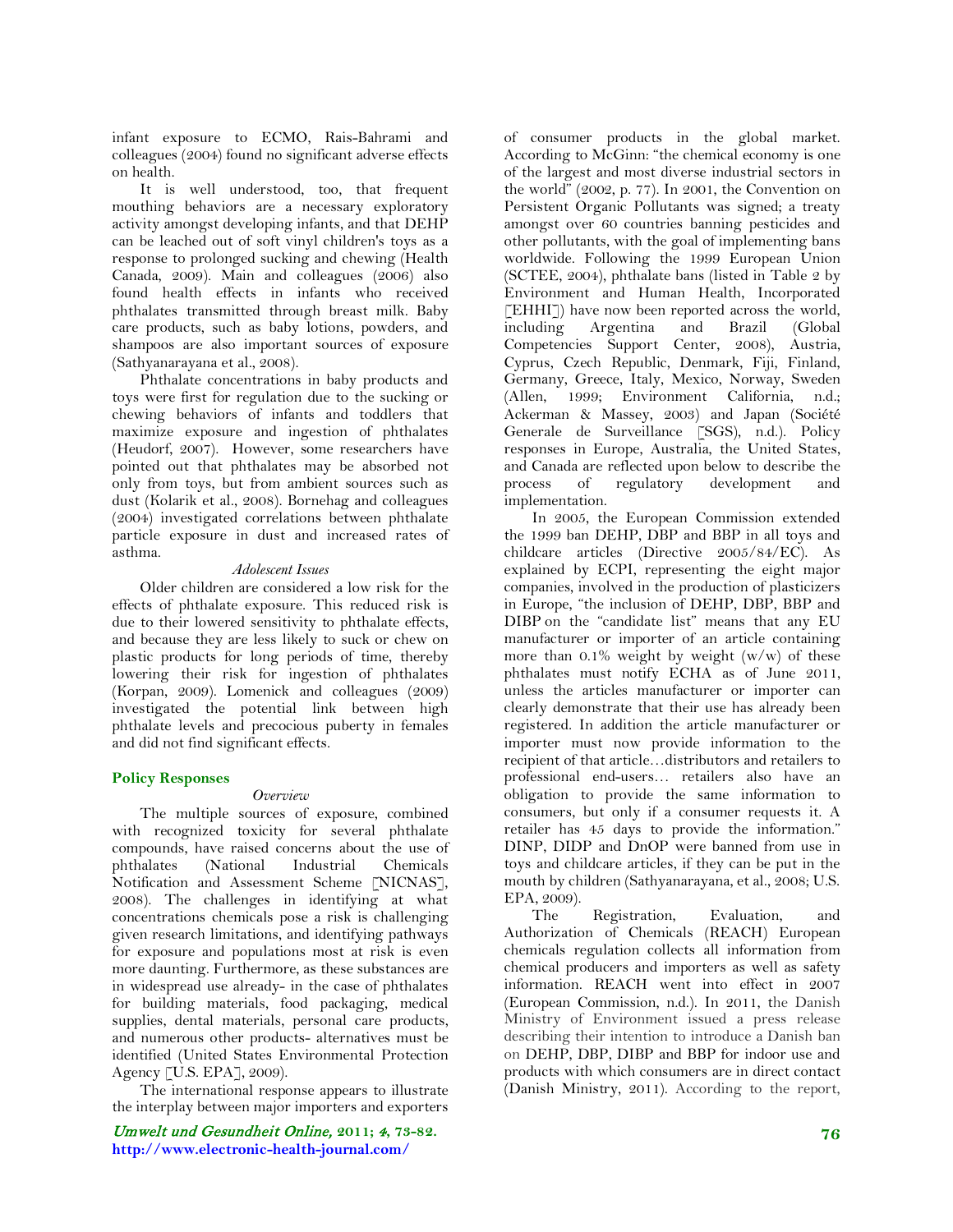infant exposure to ECMO, Rais-Bahrami and colleagues (2004) found no significant adverse effects on health.

It is well understood, too, that frequent mouthing behaviors are a necessary exploratory activity amongst developing infants, and that DEHP can be leached out of soft vinyl children's toys as a response to prolonged sucking and chewing (Health Canada, 2009). Main and colleagues (2006) also found health effects in infants who received phthalates transmitted through breast milk. Baby care products, such as baby lotions, powders, and shampoos are also important sources of exposure (Sathyanarayana et al., 2008).

Phthalate concentrations in baby products and toys were first for regulation due to the sucking or chewing behaviors of infants and toddlers that maximize exposure and ingestion of phthalates (Heudorf, 2007). However, some researchers have pointed out that phthalates may be absorbed not only from toys, but from ambient sources such as dust (Kolarik et al., 2008). Bornehag and colleagues (2004) investigated correlations between phthalate particle exposure in dust and increased rates of asthma.

#### *Adolescent Issues*

Older children are considered a low risk for the effects of phthalate exposure. This reduced risk is due to their lowered sensitivity to phthalate effects, and because they are less likely to suck or chew on plastic products for long periods of time, thereby lowering their risk for ingestion of phthalates (Korpan, 2009). Lomenick and colleagues (2009) investigated the potential link between high phthalate levels and precocious puberty in females and did not find significant effects.

#### **Policy Responses**

#### *Overview*

The multiple sources of exposure, combined with recognized toxicity for several phthalate compounds, have raised concerns about the use of phthalates (National Industrial Chemicals Notification and Assessment Scheme [NICNAS], 2008). The challenges in identifying at what concentrations chemicals pose a risk is challenging given research limitations, and identifying pathways for exposure and populations most at risk is even more daunting. Furthermore, as these substances are in widespread use already- in the case of phthalates for building materials, food packaging, medical supplies, dental materials, personal care products, and numerous other products- alternatives must be identified (United States Environmental Protection Agency [U.S. EPA], 2009).

The international response appears to illustrate the interplay between major importers and exporters

Umwelt und Gesundheit Online, **2011;** 4**, 73-82. http://www.electronic-health-journal.com/**

of consumer products in the global market. According to McGinn: "the chemical economy is one of the largest and most diverse industrial sectors in the world" (2002, p. 77). In 2001, the Convention on Persistent Organic Pollutants was signed; a treaty amongst over 60 countries banning pesticides and other pollutants, with the goal of implementing bans worldwide. Following the 1999 European Union (SCTEE, 2004), phthalate bans (listed in Table 2 by Environment and Human Health, Incorporated [EHHI]) have now been reported across the world, including Argentina and Brazil (Global Competencies Support Center, 2008), Austria, Cyprus, Czech Republic, Denmark, Fiji, Finland, Germany, Greece, Italy, Mexico, Norway, Sweden (Allen, 1999; Environment California, n.d.; Ackerman & Massey, 2003) and Japan (Société Generale de Surveillance [SGS), n.d.). Policy responses in Europe, Australia, the United States, and Canada are reflected upon below to describe the process of regulatory development and implementation.

In 2005, the European Commission extended the 1999 ban DEHP, DBP and BBP in all toys and childcare articles (Directive 2005/84/EC). As explained by ECPI, representing the eight major companies, involved in the production of plasticizers in Europe, "the inclusion of DEHP, DBP, BBP and DIBP on the "candidate list" means that any EU manufacturer or importer of an article containing more than  $0.1\%$  weight by weight  $(w/w)$  of these phthalates must notify ECHA as of June 2011, unless the articles manufacturer or importer can clearly demonstrate that their use has already been registered. In addition the article manufacturer or importer must now provide information to the recipient of that article…distributors and retailers to professional end-users… retailers also have an obligation to provide the same information to consumers, but only if a consumer requests it. A retailer has 45 days to provide the information." DINP, DIDP and DnOP were banned from use in toys and childcare articles, if they can be put in the mouth by children (Sathyanarayana, et al., 2008; U.S. EPA, 2009).

The Registration, Evaluation, and Authorization of Chemicals (REACH) European chemicals regulation collects all information from chemical producers and importers as well as safety information. REACH went into effect in 2007 (European Commission, n.d.). In 2011, the Danish Ministry of Environment issued a press release describing their intention to introduce a Danish ban on DEHP, DBP, DIBP and BBP for indoor use and products with which consumers are in direct contact (Danish Ministry, 2011). According to the report,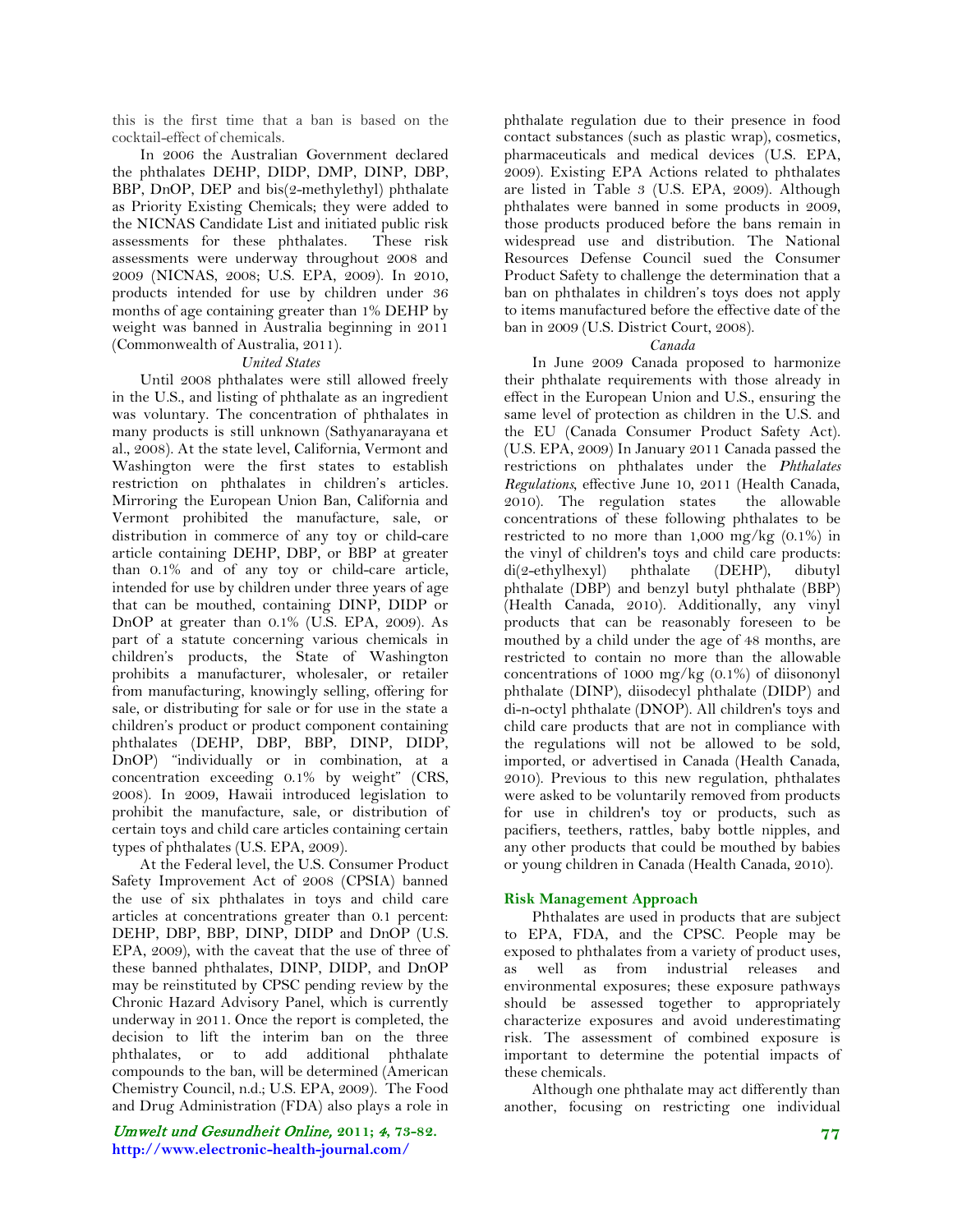this is the first time that a ban is based on the cocktail-effect of chemicals.

In 2006 the Australian Government declared the phthalates DEHP, DIDP, DMP, DINP, DBP, BBP, DnOP, DEP and bis(2-methylethyl) phthalate as Priority Existing Chemicals; they were added to the NICNAS Candidate List and initiated public risk assessments for these phthalates. These risk assessments were underway throughout 2008 and 2009 (NICNAS, 2008; U.S. EPA, 2009). In 2010, products intended for use by children under 36 months of age containing greater than 1% DEHP by weight was banned in Australia beginning in 2011 (Commonwealth of Australia, 2011).

#### *United States*

Until 2008 phthalates were still allowed freely in the U.S., and listing of phthalate as an ingredient was voluntary. The concentration of phthalates in many products is still unknown (Sathyanarayana et al., 2008). At the state level, California, Vermont and Washington were the first states to establish restriction on phthalates in children's articles. Mirroring the European Union Ban, California and Vermont prohibited the manufacture, sale, or distribution in commerce of any toy or child-care article containing DEHP, DBP, or BBP at greater than 0.1% and of any toy or child-care article, intended for use by children under three years of age that can be mouthed, containing DINP, DIDP or DnOP at greater than 0.1% (U.S. EPA, 2009). As part of a statute concerning various chemicals in children's products, the State of Washington prohibits a manufacturer, wholesaler, or retailer from manufacturing, knowingly selling, offering for sale, or distributing for sale or for use in the state a children's product or product component containing phthalates (DEHP, DBP, BBP, DINP, DIDP, DnOP) "individually or in combination, at a concentration exceeding 0.1% by weight" (CRS, 2008). In 2009, Hawaii introduced legislation to prohibit the manufacture, sale, or distribution of certain toys and child care articles containing certain types of phthalates (U.S. EPA, 2009).

At the Federal level, the U.S. Consumer Product Safety Improvement Act of 2008 (CPSIA) banned the use of six phthalates in toys and child care articles at concentrations greater than 0.1 percent: DEHP, DBP, BBP, DINP, DIDP and DnOP (U.S. EPA, 2009), with the caveat that the use of three of these banned phthalates, DINP, DIDP, and DnOP may be reinstituted by CPSC pending review by the Chronic Hazard Advisory Panel, which is currently underway in 2011. Once the report is completed, the decision to lift the interim ban on the three phthalates, or to add additional phthalate compounds to the ban, will be determined (American Chemistry Council, n.d.; U.S. EPA, 2009). The Food and Drug Administration (FDA) also plays a role in

Umwelt und Gesundheit Online, **2011;** 4**, 73-82. http://www.electronic-health-journal.com/**

phthalate regulation due to their presence in food contact substances (such as plastic wrap), cosmetics, pharmaceuticals and medical devices (U.S. EPA, 2009). Existing EPA Actions related to phthalates are listed in Table 3 (U.S. EPA, 2009). Although phthalates were banned in some products in 2009, those products produced before the bans remain in widespread use and distribution. The National Resources Defense Council sued the Consumer Product Safety to challenge the determination that a ban on phthalates in children's toys does not apply to items manufactured before the effective date of the ban in 2009 (U.S. District Court, 2008).

#### *Canada*

In June 2009 Canada proposed to harmonize their phthalate requirements with those already in effect in the European Union and U.S., ensuring the same level of protection as children in the U.S. and the EU (Canada Consumer Product Safety Act). (U.S. EPA, 2009) In January 2011 Canada passed the restrictions on phthalates under the *Phthalates Regulations*, effective June 10, 2011 (Health Canada, 2010). The regulation states the allowable concentrations of these following phthalates to be restricted to no more than 1,000 mg/kg (0.1%) in the vinyl of children's toys and child care products: di(2-ethylhexyl) phthalate (DEHP), dibutyl phthalate (DBP) and benzyl butyl phthalate (BBP) (Health Canada, 2010). Additionally, any vinyl products that can be reasonably foreseen to be mouthed by a child under the age of 48 months, are restricted to contain no more than the allowable concentrations of 1000 mg/kg (0.1%) of diisononyl phthalate (DINP), diisodecyl phthalate (DIDP) and di-n-octyl phthalate (DNOP). All children's toys and child care products that are not in compliance with the regulations will not be allowed to be sold, imported, or advertised in Canada (Health Canada, 2010). Previous to this new regulation, phthalates were asked to be voluntarily removed from products for use in children's toy or products, such as pacifiers, teethers, rattles, baby bottle nipples, and any other products that could be mouthed by babies or young children in Canada (Health Canada, 2010).

#### **Risk Management Approach**

Phthalates are used in products that are subject to EPA, FDA, and the CPSC. People may be exposed to phthalates from a variety of product uses, as well as from industrial releases and environmental exposures; these exposure pathways should be assessed together to appropriately characterize exposures and avoid underestimating risk. The assessment of combined exposure is important to determine the potential impacts of these chemicals.

Although one phthalate may act differently than another, focusing on restricting one individual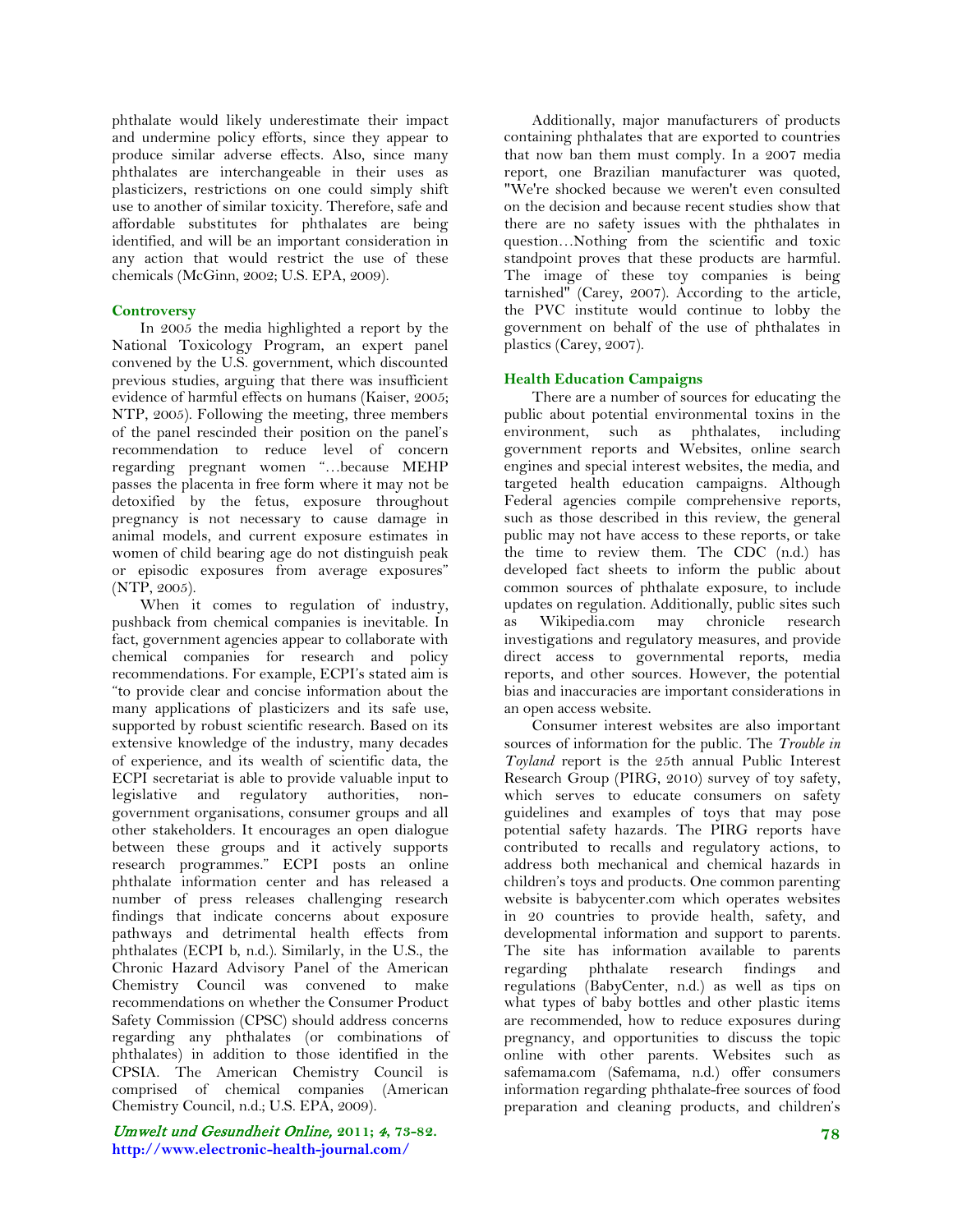phthalate would likely underestimate their impact and undermine policy efforts, since they appear to produce similar adverse effects. Also, since many phthalates are interchangeable in their uses as plasticizers, restrictions on one could simply shift use to another of similar toxicity. Therefore, safe and affordable substitutes for phthalates are being identified, and will be an important consideration in any action that would restrict the use of these chemicals (McGinn, 2002; U.S. EPA, 2009).

### **Controversy**

In 2005 the media highlighted a report by the National Toxicology Program, an expert panel convened by the U.S. government, which discounted previous studies, arguing that there was insufficient evidence of harmful effects on humans (Kaiser, 2005; NTP, 2005). Following the meeting, three members of the panel rescinded their position on the panel's recommendation to reduce level of concern regarding pregnant women "…because MEHP passes the placenta in free form where it may not be detoxified by the fetus, exposure throughout pregnancy is not necessary to cause damage in animal models, and current exposure estimates in women of child bearing age do not distinguish peak or episodic exposures from average exposures" (NTP, 2005).

When it comes to regulation of industry, pushback from chemical companies is inevitable. In fact, government agencies appear to collaborate with chemical companies for research and policy recommendations. For example, ECPI's stated aim is "to provide clear and concise information about the many applications of plasticizers and its safe use, supported by robust scientific research. Based on its extensive knowledge of the industry, many decades of experience, and its wealth of scientific data, the ECPI secretariat is able to provide valuable input to legislative and regulatory authorities, nongovernment organisations, consumer groups and all other stakeholders. It encourages an open dialogue between these groups and it actively supports research programmes." ECPI posts an online phthalate information center and has released a number of press releases challenging research findings that indicate concerns about exposure pathways and detrimental health effects from phthalates (ECPI b, n.d.). Similarly, in the U.S., the Chronic Hazard Advisory Panel of the American Chemistry Council was convened to make recommendations on whether the Consumer Product Safety Commission (CPSC) should address concerns regarding any phthalates (or combinations of phthalates) in addition to those identified in the CPSIA. The American Chemistry Council is comprised of chemical companies (American Chemistry Council, n.d.; U.S. EPA, 2009).

Umwelt und Gesundheit Online, **2011;** 4**, 73-82. http://www.electronic-health-journal.com/**

Additionally, major manufacturers of products containing phthalates that are exported to countries that now ban them must comply. In a 2007 media report, one Brazilian manufacturer was quoted, "We're shocked because we weren't even consulted on the decision and because recent studies show that there are no safety issues with the phthalates in question…Nothing from the scientific and toxic standpoint proves that these products are harmful. The image of these toy companies is being tarnished" (Carey, 2007). According to the article, the PVC institute would continue to lobby the government on behalf of the use of phthalates in plastics (Carey, 2007).

# **Health Education Campaigns**

There are a number of sources for educating the public about potential environmental toxins in the environment, such as phthalates, including government reports and Websites, online search engines and special interest websites, the media, and targeted health education campaigns. Although Federal agencies compile comprehensive reports, such as those described in this review, the general public may not have access to these reports, or take the time to review them. The CDC (n.d.) has developed fact sheets to inform the public about common sources of phthalate exposure, to include updates on regulation. Additionally, public sites such as Wikipedia.com may chronicle research investigations and regulatory measures, and provide direct access to governmental reports, media reports, and other sources. However, the potential bias and inaccuracies are important considerations in an open access website.

Consumer interest websites are also important sources of information for the public. The *Trouble in Toyland* report is the 25th annual Public Interest Research Group (PIRG, 2010) survey of toy safety, which serves to educate consumers on safety guidelines and examples of toys that may pose potential safety hazards. The PIRG reports have contributed to recalls and regulatory actions, to address both mechanical and chemical hazards in children's toys and products. One common parenting website is babycenter.com which operates websites in 20 countries to provide health, safety, and developmental information and support to parents. The site has information available to parents regarding phthalate research findings and regulations (BabyCenter, n.d.) as well as tips on what types of baby bottles and other plastic items are recommended, how to reduce exposures during pregnancy, and opportunities to discuss the topic online with other parents. Websites such as safemama.com (Safemama, n.d.) offer consumers information regarding phthalate-free sources of food preparation and cleaning products, and children's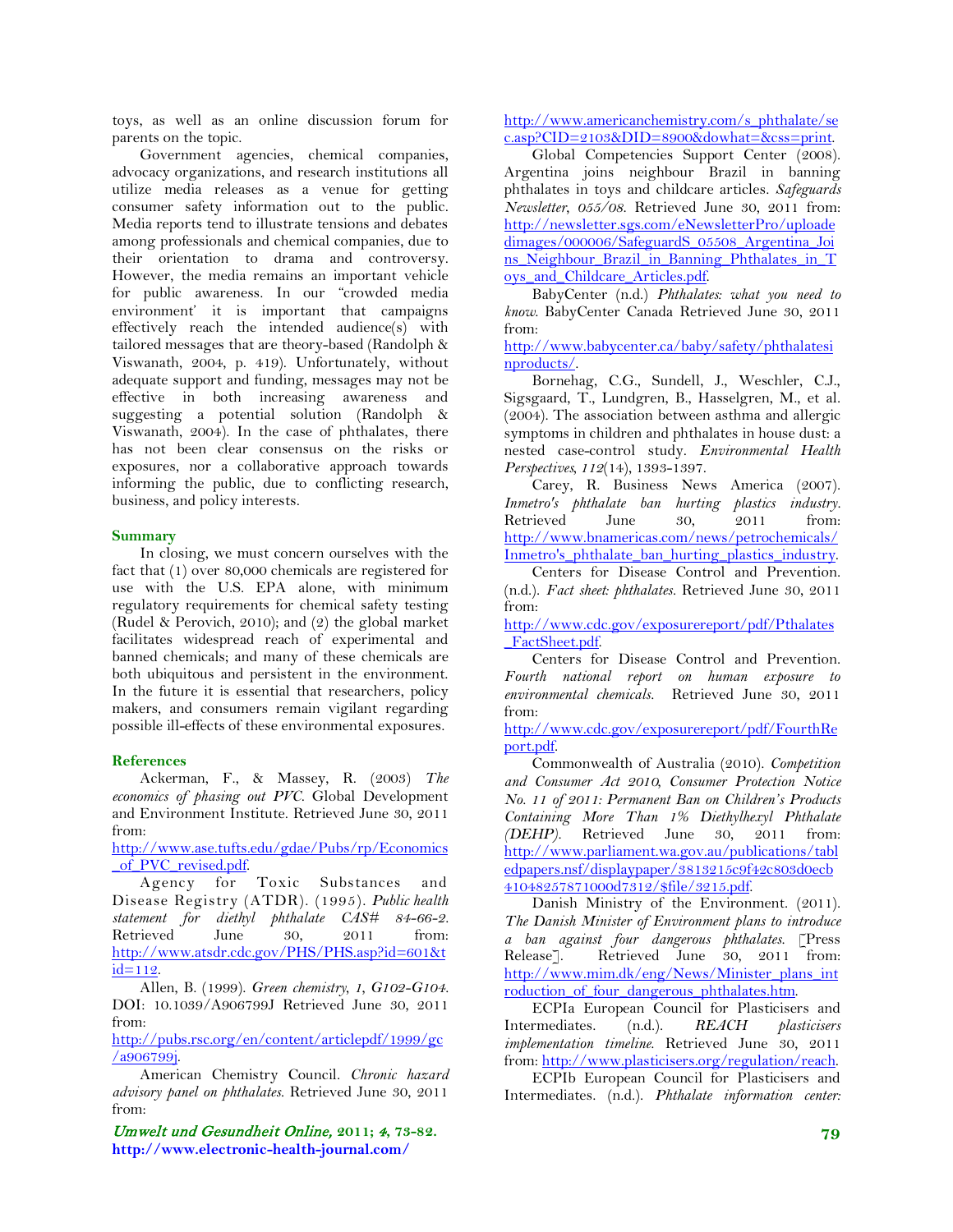toys, as well as an online discussion forum for parents on the topic.

Government agencies, chemical companies, advocacy organizations, and research institutions all utilize media releases as a venue for getting consumer safety information out to the public. Media reports tend to illustrate tensions and debates among professionals and chemical companies, due to their orientation to drama and controversy. However, the media remains an important vehicle for public awareness. In our "crowded media environment' it is important that campaigns effectively reach the intended audience(s) with tailored messages that are theory-based (Randolph & Viswanath, 2004, p. 419). Unfortunately, without adequate support and funding, messages may not be effective in both increasing awareness and suggesting a potential solution (Randolph & Viswanath, 2004). In the case of phthalates, there has not been clear consensus on the risks or exposures, nor a collaborative approach towards informing the public, due to conflicting research, business, and policy interests.

#### **Summary**

In closing, we must concern ourselves with the fact that (1) over 80,000 chemicals are registered for use with the U.S. EPA alone, with minimum regulatory requirements for chemical safety testing (Rudel & Perovich, 2010); and (2) the global market facilitates widespread reach of experimental and banned chemicals; and many of these chemicals are both ubiquitous and persistent in the environment. In the future it is essential that researchers, policy makers, and consumers remain vigilant regarding possible ill-effects of these environmental exposures.

#### **References**

Ackerman, F., & Massey, R. (2003) *The economics of phasing out PVC*. Global Development and Environment Institute. Retrieved June 30, 2011 from:

[http://www.ase.tufts.edu/gdae/Pubs/rp/Economics](http://www.ase.tufts.edu/gdae/Pubs/rp/Economics_of_PVC_revised.pdf) of PVC revised.pdf.

Agency for Toxic Substances and Disease Registry (ATDR). (1995). *Public health statement for diethyl phthalate CAS# 84-66-2.* Retrieved June 30, 2011 from: [http://www.atsdr.cdc.gov/PHS/PHS.asp?id=601&t](http://www.atsdr.cdc.gov/PHS/PHS.asp?id=601&tid=112)  $id = 112$ .

Allen, B. (1999). *Green chemistry, 1, G102-G104.* DOI: 10.1039/A906799J Retrieved June 30, 2011 from:

[http://pubs.rsc.org/en/content/articlepdf/1999/gc](http://pubs.rsc.org/en/content/articlepdf/1999/gc/a906799j) [/a906799j.](http://pubs.rsc.org/en/content/articlepdf/1999/gc/a906799j)

American Chemistry Council. *Chronic hazard advisory panel on phthalates.* Retrieved June 30, 2011 from:

Umwelt und Gesundheit Online, **2011;** 4**, 73-82. http://www.electronic-health-journal.com/**

[http://www.americanchemistry.com/s\\_phthalate/se](http://www.americanchemistry.com/s_phthalate/sec.asp?CID=2103&DID=8900&dowhat=&css=print) [c.asp?CID=2103&DID=8900&dowhat=&css=print.](http://www.americanchemistry.com/s_phthalate/sec.asp?CID=2103&DID=8900&dowhat=&css=print)

Global Competencies Support Center (2008). Argentina joins neighbour Brazil in banning phthalates in toys and childcare articles. *Safeguards Newsletter, 055/08*. Retrieved June 30, 2011 from: [http://newsletter.sgs.com/eNewsletterPro/uploade](http://newsletter.sgs.com/eNewsletterPro/uploadedimages/000006/SafeguardS_05508_Argentina_Joins_Neighbour_Brazil_in_Banning_Phthalates_in_Toys_and_Childcare_Articles.pdf) [dimages/000006/SafeguardS\\_05508\\_Argentina\\_Joi](http://newsletter.sgs.com/eNewsletterPro/uploadedimages/000006/SafeguardS_05508_Argentina_Joins_Neighbour_Brazil_in_Banning_Phthalates_in_Toys_and_Childcare_Articles.pdf) ns Neighbour Brazil in Banning Phthalates in T oys and Childcare Articles.pdf.

BabyCenter (n.d.) *Phthalates: what you need to know*. BabyCenter Canada Retrieved June 30, 2011 from:

[http://www.babycenter.ca/baby/safety/phthalatesi](http://www.babycenter.ca/baby/safety/phthalatesinproducts/) [nproducts/.](http://www.babycenter.ca/baby/safety/phthalatesinproducts/)

Bornehag, C.G., Sundell, J., Weschler, C.J., Sigsgaard, T., Lundgren, B., Hasselgren, M., et al. (2004). The association between asthma and allergic symptoms in children and phthalates in house dust: a nested case-control study. *Environmental Health Perspectives, 112*(14), 1393-1397.

Carey, R. Business News America (2007). *Inmetro's phthalate ban hurting plastics industry.* Retrieved June 30, 2011 from: [http://www.bnamericas.com/news/petrochemicals/](http://www.bnamericas.com/news/petrochemicals/Inmetro) Inmetro's phthalate ban\_hurting\_plastics\_industry.

Centers for Disease Control and Prevention. (n.d.). *Fact sheet: phthalates.* Retrieved June 30, 2011 from:

[http://www.cdc.gov/exposurereport/pdf/Pthalates](http://www.cdc.gov/exposurereport/pdf/Pthalates_FactSheet.pdf) FactSheet.pdf.

Centers for Disease Control and Prevention. *Fourth national report on human exposure to environmental chemicals.* Retrieved June 30, 2011 from:

[http://www.cdc.gov/exposurereport/pdf/FourthRe](http://www.cdc.gov/exposurereport/pdf/FourthReport.pdf) [port.pdf.](http://www.cdc.gov/exposurereport/pdf/FourthReport.pdf)

Commonwealth of Australia (2010). *Competition and Consumer Act 2010, Consumer Protection Notice No. 11 of 2011: Permanent Ban on Children's Products Containing More Than 1% Diethylhexyl Phthalate (DEHP).* Retrieved June 30, 2011 from: [http://www.parliament.wa.gov.au/publications/tabl](http://www.parliament.wa.gov.au/publications/tabledpapers.nsf/displaypaper/3813215c9f42c803d0ecb41048257871000d7312/$file/3215.pdf) [edpapers.nsf/displaypaper/3813215c9f42c803d0ecb](http://www.parliament.wa.gov.au/publications/tabledpapers.nsf/displaypaper/3813215c9f42c803d0ecb41048257871000d7312/$file/3215.pdf) [41048257871000d7312/\\$file/3215.pdf.](http://www.parliament.wa.gov.au/publications/tabledpapers.nsf/displaypaper/3813215c9f42c803d0ecb41048257871000d7312/$file/3215.pdf)

Danish Ministry of the Environment. (2011). *The Danish Minister of Environment plans to introduce a ban against four dangerous phthalates.* [Press Release].Retrieved June 30, 2011 from: [http://www.mim.dk/eng/News/Minister\\_plans\\_int](http://www.mim.dk/eng/News/Minister_plans_introduction_of_four_dangerous_phthalates.htm) roduction of four dangerous phthalates.htm.

ECPIa European Council for Plasticisers and Intermediates. (n.d.). *REACH plasticisers implementation timeline*. Retrieved June 30, 2011 from: [http://www.plasticisers.org/regulation/reach.](http://www.plasticisers.org/regulation/reach)

ECPIb European Council for Plasticisers and Intermediates. (n.d.). *Phthalate information center:*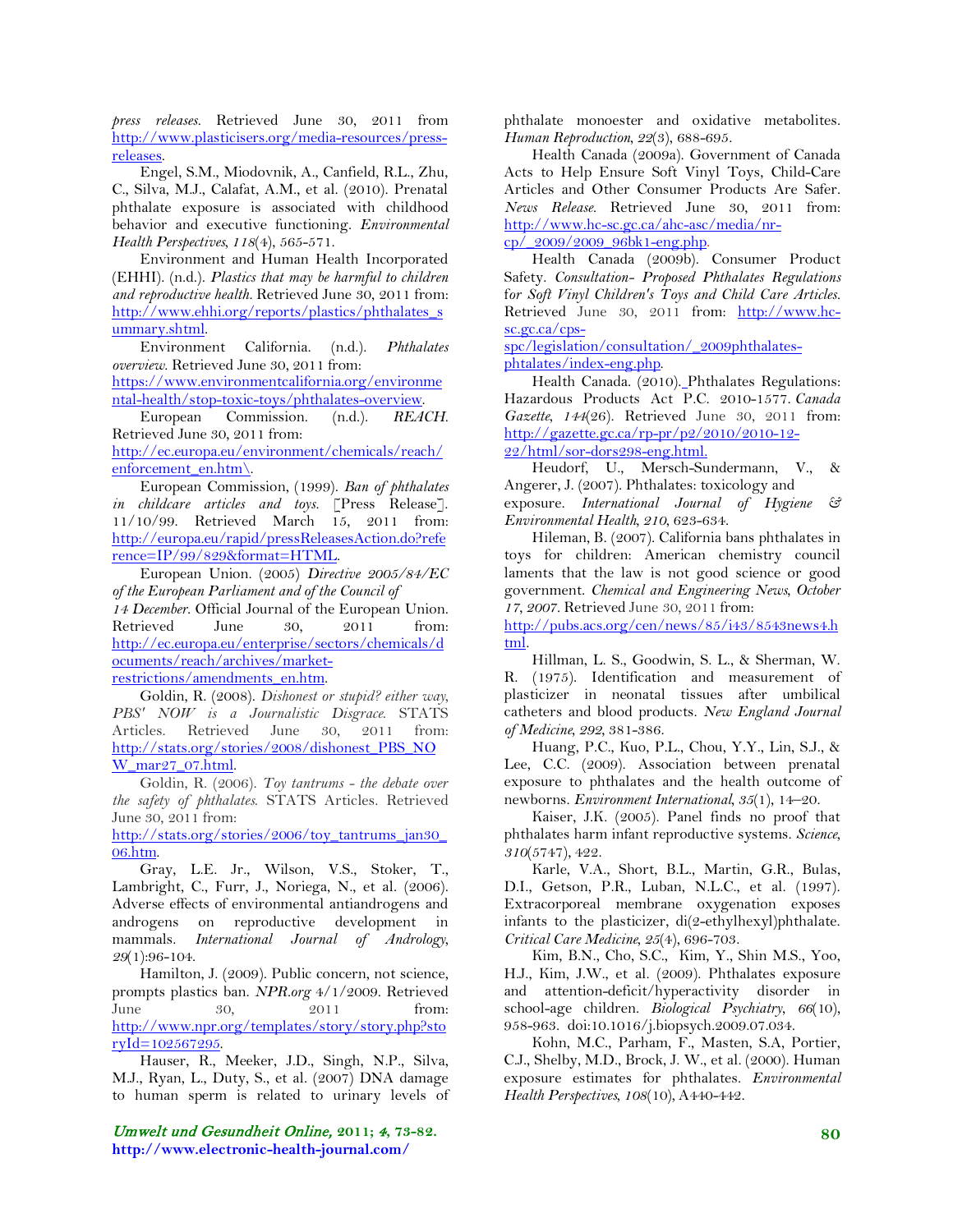*press releases.* Retrieved June 30, 2011 from [http://www.plasticisers.org/media-resources/press](http://www.plasticisers.org/media-resources/press-releases)[releases.](http://www.plasticisers.org/media-resources/press-releases)

Engel, S.M., Miodovnik, A., Canfield, R.L., Zhu, C., Silva, M.J., Calafat, A.M., et al. (2010). Prenatal phthalate exposure is associated with childhood behavior and executive functioning. *Environmental Health Perspectives, 118*(4), 565-571.

Environment and Human Health Incorporated (EHHI). (n.d.). *Plastics that may be harmful to children and reproductive health.* Retrieved June 30, 2011 from: [http://www.ehhi.org/reports/plastics/phthalates\\_s](http://www.ehhi.org/reports/plastics/phthalates_summary.shtml) [ummary.shtml.](http://www.ehhi.org/reports/plastics/phthalates_summary.shtml)

Environment California. (n.d.). *Phthalates overview.* Retrieved June 30, 2011 from:

[https://www.environmentcalifornia.org/environme](https://www.environmentcalifornia.org/environmental-health/stop-toxic-toys/phthalates-overview) [ntal-health/stop-toxic-toys/phthalates-overview.](https://www.environmentcalifornia.org/environmental-health/stop-toxic-toys/phthalates-overview)

European Commission. (n.d.). *REACH.* Retrieved June 30, 2011 from:

[http://ec.europa.eu/environment/chemicals/reach/](http://ec.europa.eu/environment/chemicals/reach/enforcement_en.htm/) [enforcement\\_en.htm\.](http://ec.europa.eu/environment/chemicals/reach/enforcement_en.htm/)

European Commission, (1999). *Ban of phthalates in childcare articles and toys.* [Press Release]. 11/10/99. Retrieved March 15, 2011 from: [http://europa.eu/rapid/pressReleasesAction.do?refe](http://europa.eu/rapid/pressReleasesAction.do?reference=IP/99/829&format=HTML) [rence=IP/99/829&format=HTML.](http://europa.eu/rapid/pressReleasesAction.do?reference=IP/99/829&format=HTML)

European Union. (2005) *Directive [2005/84/EC](http://eur-lex.europa.eu/LexUriServ/LexUriServ.do?uri=OJ:L:2005:344:0040:0043:en:PDF) of the European Parliament and of the Council of* 

*14 December*. Official Journal of the European Union. Retrieved June 30, 2011 from: [http://ec.europa.eu/enterprise/sectors/chemicals/d](http://ec.europa.eu/enterprise/sectors/chemicals/documents/reach/archives/market-restrictions/amendments_en.htm) [ocuments/reach/archives/market](http://ec.europa.eu/enterprise/sectors/chemicals/documents/reach/archives/market-restrictions/amendments_en.htm)[restrictions/amendments\\_en.htm.](http://ec.europa.eu/enterprise/sectors/chemicals/documents/reach/archives/market-restrictions/amendments_en.htm)

Goldin, R. (2008). *Dishonest or stupid? either way, PBS' NOW is a Journalistic Disgrace*. STATS Articles. Retrieved June 30, 2011 from: [http://stats.org/stories/2008/dishonest\\_PBS\\_NO](http://stats.org/stories/2008/dishonest_PBS_NOW_mar27_07.html) [W\\_mar27\\_07.html.](http://stats.org/stories/2008/dishonest_PBS_NOW_mar27_07.html)

Goldin, R. (2006). *Toy tantrums - the debate over the safety of phthalates*. STATS Articles. Retrieved June 30, 2011 from:

[http://stats.org/stories/2006/toy\\_tantrums\\_jan30\\_](http://stats.org/stories/2006/toy_tantrums_jan30_06.htm) [06.htm.](http://stats.org/stories/2006/toy_tantrums_jan30_06.htm)

Gray, L.E. Jr., Wilson, V.S., Stoker, T., Lambright, C., Furr, J., Noriega, N., et al. (2006). Adverse effects of environmental antiandrogens and androgens on reproductive development in mammals. *International Journal of Andrology, 29*(1):96-104.

Hamilton, J. (2009). Public concern, not science, prompts plastics ban. *NPR.org* 4/1/2009. Retrieved June 30, 2011 from: [http://www.npr.org/templates/story/story.php?sto](http://www.npr.org/templates/story/story.php?storyId=102567295) [ryId=102567295.](http://www.npr.org/templates/story/story.php?storyId=102567295)

Hauser, R., Meeker, J.D., Singh, N.P., Silva, M.J., Ryan, L., Duty, S., et al. (2007) DNA damage to human sperm is related to urinary levels of

Umwelt und Gesundheit Online, **2011;** 4**, 73-82. http://www.electronic-health-journal.com/**

phthalate monoester and oxidative metabolites. *Human Reproduction, 22*(3), 688-695.

Health Canada (2009a). Government of Canada Acts to Help Ensure Soft Vinyl Toys, Child-Care Articles and Other Consumer Products Are Safer. *News Release.* Retrieved June 30, 2011 from: [http://www.hc-sc.gc.ca/ahc-asc/media/nr](http://www.hc-sc.gc.ca/ahc-asc/media/nr-cp/_2009/2009_96bk1-eng.php)cp/  $2009/2009$  96bk1-eng.php.

Health Canada (2009b). Consumer Product Safety. *Consultation- Proposed Phthalates Regulations* f*or Soft Vinyl Children's Toys and Child Care Articles.* Retrieved June 30, 2011 from: [http://www.hc](http://www.hc-sc.gc.ca/cps-spc/legislation/consultation/_2009phthalates-phtalates/index-eng.php)[sc.gc.ca/cps-](http://www.hc-sc.gc.ca/cps-spc/legislation/consultation/_2009phthalates-phtalates/index-eng.php)

[spc/legislation/consultation/\\_2009phthalates](http://www.hc-sc.gc.ca/cps-spc/legislation/consultation/_2009phthalates-phtalates/index-eng.php)[phtalates/index-eng.php.](http://www.hc-sc.gc.ca/cps-spc/legislation/consultation/_2009phthalates-phtalates/index-eng.php)

Health Canada. (2010). Phthalates Regulations: Hazardous Products Act P.C. 2010-1577. *Canada Gazette, 144*(26). Retrieved June 30, 2011 from: [http://gazette.gc.ca/rp-pr/p2/2010/2010-12-](http://gazette.gc.ca/rp-pr/p2/2010/2010-12-22/html/sor-dors298-eng.html) [22/html/sor-dors298-eng.html.](http://gazette.gc.ca/rp-pr/p2/2010/2010-12-22/html/sor-dors298-eng.html)

Heudorf, U., Mersch-Sundermann, V., & Angerer, J. (2007). Phthalates: toxicology and exposure. *International Journal of Hygiene & Environmental Health, 210*, 623-634.

Hileman, B. (2007). California bans phthalates in toys for children: American chemistry council laments that the law is not good science or good government. *Chemical and Engineering News, October 17, 2007.* Retrieved June 30, 2011 from:

[http://pubs.acs.org/cen/news/85/i43/8543news4.h](http://pubs.acs.org/cen/news/85/i43/8543news4.html) [tml.](http://pubs.acs.org/cen/news/85/i43/8543news4.html)

Hillman, L. S., Goodwin, S. L., & Sherman, W. R. (1975). Identification and measurement of plasticizer in neonatal tissues after umbilical catheters and blood products. *New England Journal of Medicine, 292,* 381-386.

Huang, P.C., Kuo, P.L., Chou, Y.Y., Lin, S.J., & Lee, C.C. (2009). Association between prenatal exposure to phthalates and the health outcome of newborns. *Environment International, 35*(1), 14–20.

Kaiser, J.K*.* (2005). Panel finds no proof that phthalates harm infant reproductive systems. *Science, 310*(5747), 422.

Karle, V.A., Short, B.L., Martin, G.R., Bulas, D.I., Getson, P.R., Luban, N.L.C., et al. (1997). Extracorporeal membrane oxygenation exposes infants to the plasticizer, di(2-ethylhexyl)phthalate. *Critical Care Medicine, 25*(4), 696-703.

Kim, B.N., Cho, S.C., Kim, Y., Shin M.S., Yoo, H.J., Kim, J.W., et al. (2009). Phthalates exposure and attention-deficit/hyperactivity disorder in school-age children. *[Biological Psychiatry](http://dx.doi.org/10.1016/j.biopsych.2009.07.034)*, *66*(10)*,*  [958-963. doi:10.1016/j.biopsych.2009.07.034.](http://dx.doi.org/10.1016/j.biopsych.2009.07.034)

Kohn, M.C., Parham, F., Masten, S.A, Portier, C.J., Shelby, M.D., Brock, J. W., et al. (2000). Human exposure estimates for phthalates. *Environmental Health Perspectives, 108*(10)*,* A440-442.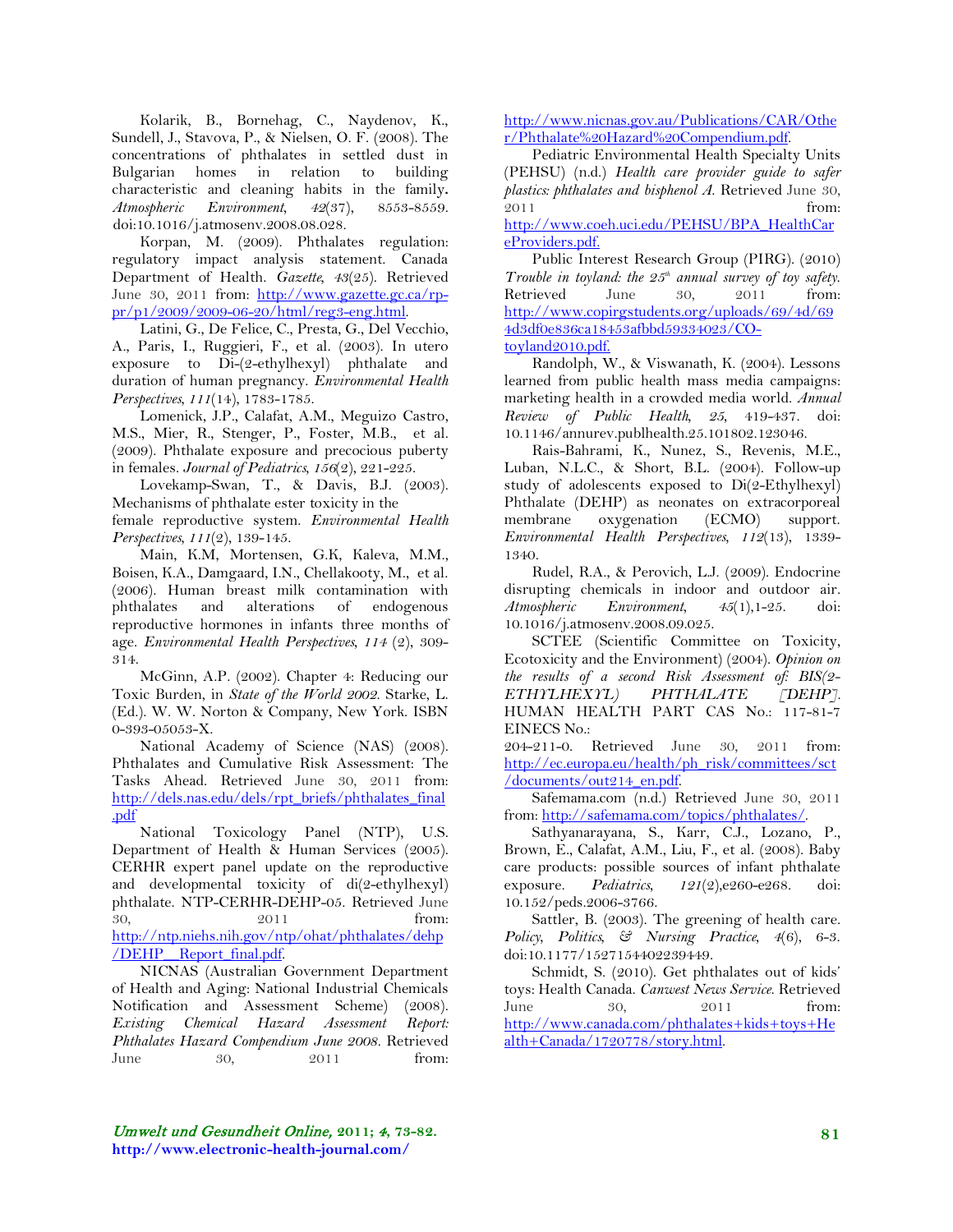Kolarik, B., Bornehag, C., Naydenov, K., Sundell, J., Stavova, P., & Nielsen, O. F. (2008). The concentrations of phthalates in settled dust in Bulgarian homes in relation to building characteristic and cleaning habits in the family**.**  *Atmospheric Environment, 42*(37), 8553-8559. doi:10.1016/j.atmosenv.2008.08.028.

Korpan, M. (2009). Phthalates regulation: regulatory impact analysis statement. Canada Department of Health. *Gazette, 43*(25). Retrieved June 30, 2011 from: [http://www.gazette.gc.ca/rp](http://www.gazette.gc.ca/rp-pr/p1/2009/2009-06-20/html/reg3-eng.html)[pr/p1/2009/2009-06-20/html/reg3-eng.html.](http://www.gazette.gc.ca/rp-pr/p1/2009/2009-06-20/html/reg3-eng.html)

Latini, G., De Felice, C., Presta, G., Del Vecchio, A., Paris, I., Ruggieri, F., et al. (2003). In utero exposure to Di-(2-ethylhexyl) phthalate and duration of human pregnancy. *Environmental Health Perspectives, 111*(14), 1783-1785.

Lomenick, J.P., Calafat, A.M., Meguizo Castro, M.S., Mier, R., Stenger, P., Foster, M.B., et al. (2009). Phthalate exposure and precocious puberty in females. *Journal of Pediatrics, 156*(2), 221-225.

Lovekamp-Swan, T., & Davis, B.J. (2003). Mechanisms of phthalate ester toxicity in the female reproductive system. *Environmental Health Perspectives, 111*(2), 139-145.

Main, K.M, Mortensen, G.K, Kaleva, M.M., Boisen, K.A., Damgaard, I.N., Chellakooty, M., et al. (2006). Human breast milk contamination with phthalates and alterations of endogenous reproductive hormones in infants three months of age. *Environmental Health Perspectives, 114* (2), 309- 314.

McGinn, A.P. (2002). Chapter 4: Reducing our Toxic Burden, in *State of the World 2002*. Starke, L. (Ed.). W. W. Norton & Company, New York. ISBN 0-393-05053-X.

National Academy of Science (NAS) (2008). Phthalates and Cumulative Risk Assessment: The Tasks Ahead. Retrieved June 30, 2011 from: [http://dels.nas.edu/dels/rpt\\_briefs/phthalates\\_final](http://dels.nas.edu/dels/rpt_briefs/phthalates_final.pdf) [.pdf](http://dels.nas.edu/dels/rpt_briefs/phthalates_final.pdf)

National Toxicology Panel (NTP), U.S. Department of Health & Human Services (2005). CERHR expert panel update on the reproductive and developmental toxicity of di(2-ethylhexyl) phthalate. NTP-CERHR-DEHP-05. Retrieved June 30, 2011 from: [http://ntp.niehs.nih.gov/ntp/ohat/phthalates/dehp](http://ntp.niehs.nih.gov/ntp/ohat/phthalates/dehp/DEHP__Report_final.pdf) [/DEHP\\_\\_Report\\_final.pdf.](http://ntp.niehs.nih.gov/ntp/ohat/phthalates/dehp/DEHP__Report_final.pdf)

NICNAS (Australian Government Department of Health and Aging: National Industrial Chemicals Notification and Assessment Scheme) (2008). *Existing Chemical Hazard Assessment Report: Phthalates Hazard Compendium June 2008.* Retrieved June 30, 2011 from: [http://www.nicnas.gov.au/Publications/CAR/Othe](http://www.nicnas.gov.au/Publications/CAR/Other/Phthalate%20Hazard%20Compendium.pdf) [r/Phthalate%20Hazard%20Compendium.pdf.](http://www.nicnas.gov.au/Publications/CAR/Other/Phthalate%20Hazard%20Compendium.pdf)

Pediatric Environmental Health Specialty Units (PEHSU) (n.d.) *Health care provider guide to safer plastics: phthalates and bisphenol A*. Retrieved June 30, 2011 from:

[http://www.coeh.uci.edu/PEHSU/BPA\\_HealthCar](http://www.coeh.uci.edu/PEHSU/BPA_HealthCareProviders.pdf) [eProviders.pdf.](http://www.coeh.uci.edu/PEHSU/BPA_HealthCareProviders.pdf)

Public Interest Research Group (PIRG). (2010) *Trouble in toyland: the 25th annual survey of toy safety*. Retrieved June 30, 2011 from: [http://www.copirgstudents.org/uploads/69/4d/69](http://www.copirgstudents.org/uploads/69/4d/694d3df0e836ca18453afbbd59334023/CO-toyland2010.pdf) [4d3df0e836ca18453afbbd59334023/CO](http://www.copirgstudents.org/uploads/69/4d/694d3df0e836ca18453afbbd59334023/CO-toyland2010.pdf)[toyland2010.pdf.](http://www.copirgstudents.org/uploads/69/4d/694d3df0e836ca18453afbbd59334023/CO-toyland2010.pdf)

Randolph, W., & Viswanath, K. (2004). Lessons learned from public health mass media campaigns: marketing health in a crowded media world. *Annual Review of Public Health, 25,* 419-437. doi: 10.1146/annurev.publhealth.25.101802.123046.

Rais-Bahrami, K., Nunez, S., Revenis, M.E., Luban, N.L.C., & Short, B.L. (2004). Follow-up study of adolescents exposed to Di(2-Ethylhexyl) Phthalate (DEHP) as neonates on extracorporeal membrane oxygenation (ECMO) support. *Environmental Health Perspectives, 112*(13), 1339- 1340.

Rudel, R.A., & Perovich, L.J. (2009). Endocrine disrupting chemicals in indoor and outdoor air. *Atmospheric Environment, 45*(1),1-25. doi: 10.1016/j.atmosenv.2008.09.025.

SCTEE (Scientific Committee on Toxicity, Ecotoxicity and the Environment) (2004). *Opinion on the results of a second Risk Assessment of: BIS(2- ETHYLHEXYL) PHTHALATE [DEHP].* HUMAN HEALTH PART CAS No.: 117-81-7 EINECS No.:

204-211-0. Retrieved June 30, 2011 from: [http://ec.europa.eu/health/ph\\_risk/committees/sct](http://ec.europa.eu/health/ph_risk/committees/sct/documents/out214_en.pdf) [/documents/out214\\_en.pdf.](http://ec.europa.eu/health/ph_risk/committees/sct/documents/out214_en.pdf)

Safemama.com (n.d.) Retrieved June 30, 2011 from: [http://safemama.com/topics/phthalates/.](http://safemama.com/topics/phthalates/)

Sathyanarayana, S., Karr, C.J., Lozano, P., Brown, E., Calafat, A.M., Liu, F., et al. (2008). Baby care products: possible sources of infant phthalate exposure. *Pediatrics, 121*(2),e260-e268. doi: 10.152/peds.2006-3766.

Sattler, B. (2003). The greening of health care. *Policy, Politics, & Nursing Practice, 4*(6), 6-3. doi:10.1177/1527154402239449.

Schmidt, S. (2010). Get phthalates out of kids' toys: Health Canada. *Canwest News Service*. Retrieved June 30, 2011 from: [http://www.canada.com/phthalates+kids+toys+He](http://www.canada.com/phthalates+kids+toys+Health+Canada/1720778/story.html) [alth+Canada/1720778/story.html.](http://www.canada.com/phthalates+kids+toys+Health+Canada/1720778/story.html)